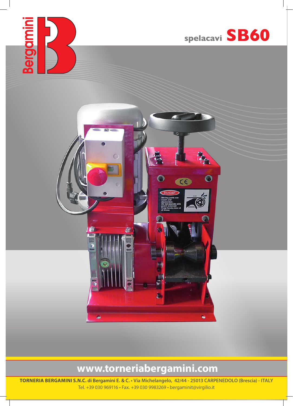



 $\bullet$ 

## **www.torneriabergamini.com**

**TORNERIA BERGAMINI S.N.C. di Bergamini E. & C. • Via Michelangelo, 42/44 - 25013 CARPENEDOLO (Brescia) - ITALY** Tel. +39 030 969116 • Fax. +39 030 9983269 • bergaminit@virgilio.it